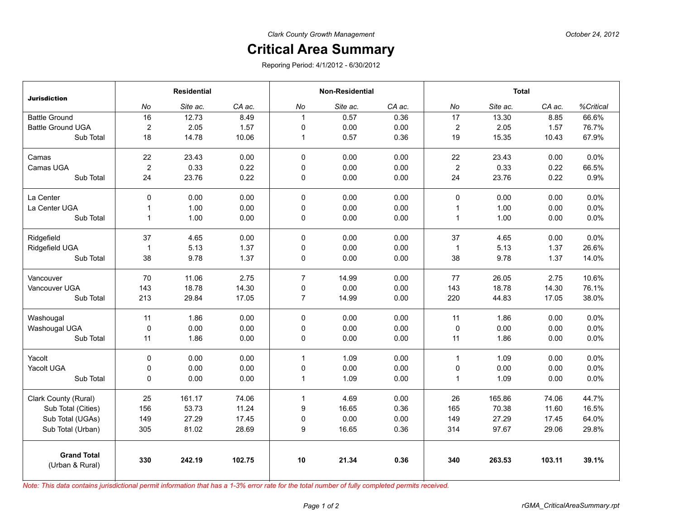## **Critical Area Summary**

Reporing Period: 4/1/2012 - 6/30/2012

| <b>Jurisdiction</b>                   | <b>Residential</b> |          |        | <b>Non-Residential</b> |          |        | <b>Total</b>   |          |        |           |
|---------------------------------------|--------------------|----------|--------|------------------------|----------|--------|----------------|----------|--------|-----------|
|                                       | No                 | Site ac. | CA ac. | No                     | Site ac. | CA ac. | No             | Site ac. | CA ac. | %Critical |
| <b>Battle Ground</b>                  | 16                 | 12.73    | 8.49   | $\mathbf{1}$           | 0.57     | 0.36   | 17             | 13.30    | 8.85   | 66.6%     |
| <b>Battle Ground UGA</b>              | $\overline{c}$     | 2.05     | 1.57   | $\mathbf 0$            | 0.00     | 0.00   | $\overline{2}$ | 2.05     | 1.57   | 76.7%     |
| Sub Total                             | 18                 | 14.78    | 10.06  | $\mathbf{1}$           | 0.57     | 0.36   | 19             | 15.35    | 10.43  | 67.9%     |
| Camas                                 | 22                 | 23.43    | 0.00   | $\mathbf 0$            | 0.00     | 0.00   | 22             | 23.43    | 0.00   | 0.0%      |
| Camas UGA                             | $\overline{2}$     | 0.33     | 0.22   | 0                      | 0.00     | 0.00   | $\overline{2}$ | 0.33     | 0.22   | 66.5%     |
| Sub Total                             | 24                 | 23.76    | 0.22   | 0                      | 0.00     | 0.00   | 24             | 23.76    | 0.22   | 0.9%      |
| La Center                             | $\Omega$           | 0.00     | 0.00   | $\mathbf 0$            | 0.00     | 0.00   | $\mathbf 0$    | 0.00     | 0.00   | 0.0%      |
| La Center UGA                         | $\mathbf{1}$       | 1.00     | 0.00   | $\mathbf 0$            | 0.00     | 0.00   | $\mathbf{1}$   | 1.00     | 0.00   | 0.0%      |
| Sub Total                             | $\mathbf{1}$       | 1.00     | 0.00   | 0                      | 0.00     | 0.00   | $\mathbf{1}$   | 1.00     | 0.00   | 0.0%      |
| Ridgefield                            | 37                 | 4.65     | 0.00   | $\mathbf 0$            | 0.00     | 0.00   | 37             | 4.65     | 0.00   | 0.0%      |
| Ridgefield UGA                        | $\overline{1}$     | 5.13     | 1.37   | $\mathbf 0$            | 0.00     | 0.00   | $\mathbf{1}$   | 5.13     | 1.37   | 26.6%     |
| Sub Total                             | 38                 | 9.78     | 1.37   | 0                      | 0.00     | 0.00   | 38             | 9.78     | 1.37   | 14.0%     |
| Vancouver                             | 70                 | 11.06    | 2.75   | $\overline{7}$         | 14.99    | 0.00   | 77             | 26.05    | 2.75   | 10.6%     |
| Vancouver UGA                         | 143                | 18.78    | 14.30  | 0                      | 0.00     | 0.00   | 143            | 18.78    | 14.30  | 76.1%     |
| Sub Total                             | 213                | 29.84    | 17.05  | $\overline{7}$         | 14.99    | 0.00   | 220            | 44.83    | 17.05  | 38.0%     |
| Washougal                             | 11                 | 1.86     | 0.00   | 0                      | 0.00     | 0.00   | 11             | 1.86     | 0.00   | 0.0%      |
| Washougal UGA                         | $\mathbf 0$        | 0.00     | 0.00   | $\mathbf 0$            | 0.00     | 0.00   | $\mathbf 0$    | 0.00     | 0.00   | 0.0%      |
| Sub Total                             | 11                 | 1.86     | 0.00   | 0                      | 0.00     | 0.00   | 11             | 1.86     | 0.00   | 0.0%      |
| Yacolt                                | $\mathbf 0$        | 0.00     | 0.00   | $\mathbf{1}$           | 1.09     | 0.00   | $\mathbf{1}$   | 1.09     | 0.00   | 0.0%      |
| Yacolt UGA                            | 0                  | 0.00     | 0.00   | 0                      | 0.00     | 0.00   | 0              | 0.00     | 0.00   | 0.0%      |
| Sub Total                             | 0                  | 0.00     | 0.00   | $\mathbf{1}$           | 1.09     | 0.00   | $\mathbf{1}$   | 1.09     | 0.00   | 0.0%      |
| Clark County (Rural)                  | 25                 | 161.17   | 74.06  | $\mathbf{1}$           | 4.69     | 0.00   | 26             | 165.86   | 74.06  | 44.7%     |
| Sub Total (Cities)                    | 156                | 53.73    | 11.24  | 9                      | 16.65    | 0.36   | 165            | 70.38    | 11.60  | 16.5%     |
| Sub Total (UGAs)                      | 149                | 27.29    | 17.45  | 0                      | 0.00     | 0.00   | 149            | 27.29    | 17.45  | 64.0%     |
| Sub Total (Urban)                     | 305                | 81.02    | 28.69  | 9                      | 16.65    | 0.36   | 314            | 97.67    | 29.06  | 29.8%     |
| <b>Grand Total</b><br>(Urban & Rural) | 330                | 242.19   | 102.75 | 10                     | 21.34    | 0.36   | 340            | 263.53   | 103.11 | 39.1%     |

*Note: This data contains jurisdictional permit information that has a 1-3% error rate for the total number of fully completed permits received.*